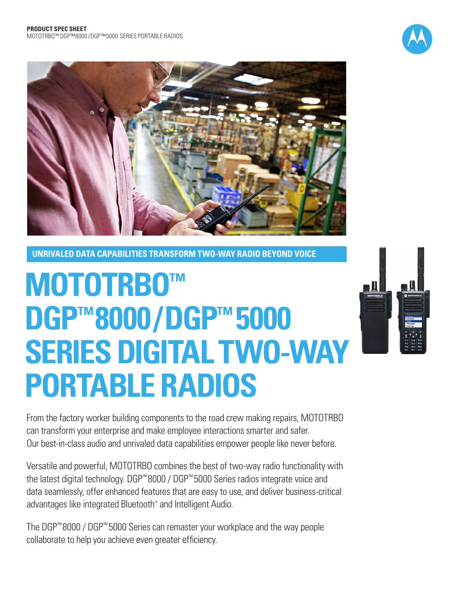



**UNRIVALED DATA CAPABILITIES TRANSFORM TWO-WAY RADIO BEYOND VOICE**

# **MOTOTRBO™ DGP™8000 / DGP™ 5000 SERIES DIGITAL TWO-WAY PORTABLE RADIOS**



From the factory worker building components to the road crew making repairs, MOTOTRBO can transform your enterprise and make employee interactions smarter and safer. Our best-in-class audio and unrivaled data capabilities empower people like never before.

Versatile and powerful, MOTOTRBO combines the best of two-way radio functionality with the latest digital technology. DGP™ 8000 / DGP™ 5000 Series radios integrate voice and data seamlessly, offer enhanced features that are easy to use, and deliver business-critical advantages like integrated Bluetooth® and Intelligent Audio.

The DGP™ 8000 / DGP™ 5000 Series can remaster your workplace and the way people collaborate to help you achieve even greater efficiency.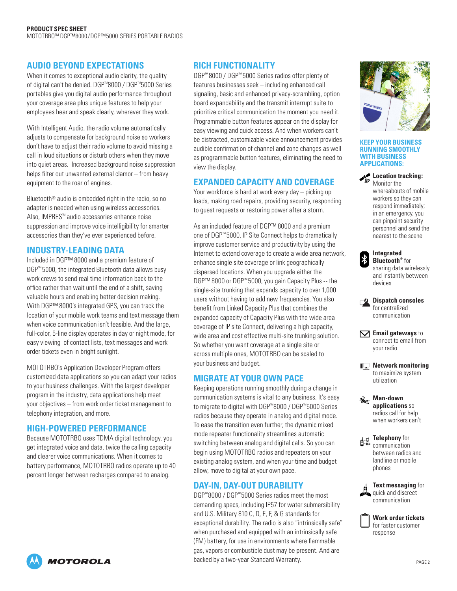## **AUDIO BEYOND EXPECTATIONS**

When it comes to exceptional audio clarity, the quality of digital can't be denied. DGP™8000 / DGP™5000 Series portables give you digital audio performance throughout your coverage area plus unique features to help your employees hear and speak clearly, wherever they work.

With Intelligent Audio, the radio volume automatically adjusts to compensate for background noise so workers don't have to adjust their radio volume to avoid missing a call in loud situations or disturb others when they move into quiet areas. Increased background noise suppression helps filter out unwanted external clamor – from heavy equipment to the roar of engines.

Bluetooth® audio is embedded right in the radio, so no adapter is needed when using wireless accessories. Also, IMPRES™ audio accessories enhance noise suppression and improve voice intelligibility for smarter accessories than they've ever experienced before.

## **INDUSTRY-LEADING DATA**

Included in DGP™ 8000 and a premium feature of DGP<sup>™</sup> 5000, the integrated Bluetooth data allows busy work crews to send real time information back to the office rather than wait until the end of a shift, saving valuable hours and enabling better decision making. With DGP™ 8000's integrated GPS, you can track the location of your mobile work teams and text message them when voice communication isn't feasible. And the large, full-color, 5-line display operates in day or night mode, for easy viewing of contact lists, text messages and work order tickets even in bright sunlight.

MOTOTRBO's Application Developer Program offers customized data applications so you can adapt your radios to your business challenges. With the largest developer program in the industry, data applications help meet your objectives – from work order ticket management to telephony integration, and more.

## **HIGH-POWERED PERFORMANCE**

Because MOTOTRBO uses TDMA digital technology, you get integrated voice and data, twice the calling capacity and clearer voice communications. When it comes to battery performance, MOTOTRBO radios operate up to 40 percent longer between recharges compared to analog.

## **RICH FUNCTIONALITY**

DGP™ 8000 / DGP™ 5000 Series radios offer plenty of features businesses seek – including enhanced call signaling, basic and enhanced privacy-scrambling, option board expandability and the transmit interrupt suite to prioritize critical communication the moment you need it. Programmable button features appear on the display for easy viewing and quick access. And when workers can't be distracted, customizable voice announcement provides audible confirmation of channel and zone changes as well as programmable button features, eliminating the need to view the display.

## **EXPANDED CAPACITY AND COVERAGE**

Your workforce is hard at work every day – picking up loads, making road repairs, providing security, responding to guest requests or restoring power after a storm.

As an included feature of DGP™ 8000 and a premium one of DGP™ 5000, IP Site Connect helps to dramatically improve customer service and productivity by using the Internet to extend coverage to create a wide area network, enhance single site coverage or link geographically dispersed locations. When you upgrade either the DGP™ 8000 or DGP™ 5000, you gain Capacity Plus -- the single-site trunking that expands capacity to over 1,000 users without having to add new frequencies. You also benefit from Linked Capacity Plus that combines the expanded capacity of Capacity Plus with the wide area coverage of IP site Connect, delivering a high capacity, wide area and cost effective multi-site trunking solution. So whether you want coverage at a single site or across multiple ones, MOTOTRBO can be scaled to your business and budget.

## **MIGRATE AT YOUR OWN PACE**

Keeping operations running smoothly during a change in communication systems is vital to any business. It's easy to migrate to digital with DGP™8000 / DGP™5000 Series radios because they operate in analog and digital mode. To ease the transition even further, the dynamic mixed mode repeater functionality streamlines automatic switching between analog and digital calls. So you can begin using MOTOTRBO radios and repeaters on your existing analog system, and when your time and budget allow, move to digital at your own pace.

## **DAY-IN, DAY-OUT DURABILITY**

DGP™8000 / DGP™5000 Series radios meet the most demanding specs, including IP57 for water submersibility and U.S. Military 810 C, D, E, F, & G standards for exceptional durability. The radio is also "intrinsically safe" when purchased and equipped with an intrinsically safe (FM) battery, for use in environments where flammable gas, vapors or combustible dust may be present. And are backed by a two-year Standard Warranty.



#### **KEEP YOUR BUSINESS RUNNING SMOOTHLY WITH BUSINESS APPLICATIONS:**

#### **Location tracking:** Monitor the

whereabouts of mobile workers so they can respond immediately; in an emergency, you can pinpoint security personnel and send the nearest to the scene

|         | <b>Integrated</b>                 |
|---------|-----------------------------------|
|         | <b>Bluetooth</b> <sup>®</sup> for |
|         | sharing data wirelessly           |
|         | and instantly between             |
| devices |                                   |

l\*

| $\Box$ Dispatch consoles |
|--------------------------|
| for centralized          |
| communication            |

**Email gateways** to connect to email from your radio

**IQ** Network monitoring to maximize system utilization

**Man-down applications** so radios call for help when workers can't

**Telephony** for communication between radios and landline or mobile phones

**Text messaging** for quick and discreet communication



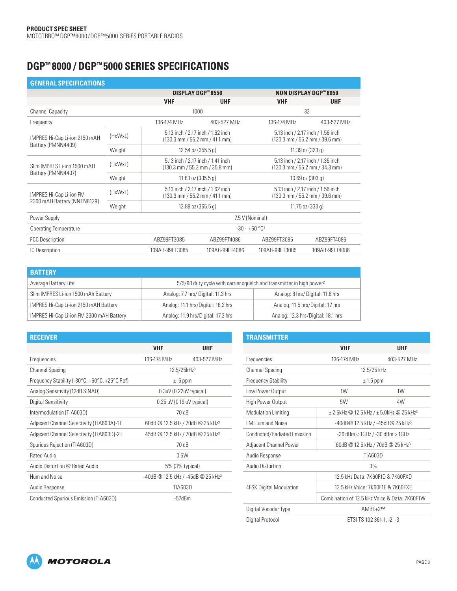## **DGP™ 8000 / DGP™ 5000 SERIES SPECIFICATIONS**

| <b>GENERAL SPECIFICATIONS</b>                        |                 |                             |                                                                                               |                                                                                               |                                                                                               |  |  |
|------------------------------------------------------|-----------------|-----------------------------|-----------------------------------------------------------------------------------------------|-----------------------------------------------------------------------------------------------|-----------------------------------------------------------------------------------------------|--|--|
|                                                      |                 |                             | <b>DISPLAY DGP™8550</b>                                                                       |                                                                                               | <b>NON DISPLAY DGP™8050</b>                                                                   |  |  |
|                                                      |                 | <b>VHF</b>                  | <b>UHF</b>                                                                                    |                                                                                               | <b>UHF</b>                                                                                    |  |  |
| <b>Channel Capacity</b>                              |                 |                             | 1000                                                                                          |                                                                                               | 32                                                                                            |  |  |
| Frequency                                            |                 | 136-174 MHz                 | 403-527 MHz                                                                                   |                                                                                               | 403-527 MHz                                                                                   |  |  |
| IMPRES Hi-Cap Li-ion 2150 mAH<br>Battery (PMNN4409)  | (HxWxL)         |                             | 5.13 inch / 2.17 inch / 1.62 inch<br>$(130.3 \text{ mm} / 55.2 \text{ mm} / 41.1 \text{ mm})$ |                                                                                               | 5.13 inch / 2.17 inch / 1.56 inch<br>$(130.3 \text{ mm} / 55.2 \text{ mm} / 39.6 \text{ mm})$ |  |  |
|                                                      | Weight          |                             | 12.54 oz (355.5 g)                                                                            | 11.39 oz $(323 g)$                                                                            |                                                                                               |  |  |
| Slim IMPRES Li-ion 1500 mAH                          | (HxWxL)         |                             | 5.13 inch / 2.17 inch / 1.41 inch<br>$(130.3 \text{ mm} / 55.2 \text{ mm} / 35.8 \text{ mm})$ |                                                                                               | 5.13 inch / 2.17 inch / 1.35 inch<br>$(130.3 \text{ mm} / 55.2 \text{ mm} / 34.3 \text{ mm})$ |  |  |
| Battery (PMNN4407)                                   | Weight          |                             | 11.83 oz $(335.5 g)$                                                                          |                                                                                               | 10.69 oz $(303 g)$                                                                            |  |  |
| <b>IMPRES Hi-Cap Li-ion FM</b>                       | (HxWxL)         |                             | 5.13 inch / 2.17 inch / 1.62 inch<br>$(130.3 \text{ mm} / 55.2 \text{ mm} / 41.1 \text{ mm})$ | 5.13 inch / 2.17 inch / 1.56 inch<br>$(130.3 \text{ mm} / 55.2 \text{ mm} / 39.6 \text{ mm})$ |                                                                                               |  |  |
| 2300 mAH Battery (NNTN8129)                          | Weight          |                             | 12.89 oz (365.5 g)                                                                            | $11.75$ oz (333 g)                                                                            |                                                                                               |  |  |
| Power Supply                                         | 7.5 V (Nominal) |                             |                                                                                               |                                                                                               |                                                                                               |  |  |
| <b>Operating Temperature</b>                         |                 | $-30 - +60$ °C <sup>1</sup> |                                                                                               |                                                                                               |                                                                                               |  |  |
| ABZ99FT3085<br>ABZ99FT4086<br><b>FCC Description</b> |                 |                             |                                                                                               | ABZ99FT3085<br>ABZ99FT4086                                                                    |                                                                                               |  |  |
| IC Description                                       |                 | 109AB-99FT3085              | 109AB-99FT4086                                                                                | 109AB-99FT3085                                                                                | 109AB-99FT4086                                                                                |  |  |

| <b>BATTERY</b>                           |                                                                                   |                                    |  |  |
|------------------------------------------|-----------------------------------------------------------------------------------|------------------------------------|--|--|
| Average Battery Life                     | 5/5/90 duty cycle with carrier squelch and transmitter in high power <sup>2</sup> |                                    |  |  |
| Slim IMPRES Li-ion 1500 mAh Battery      | Analog: 7.7 hrs/Digital: 11.3 hrs                                                 | Analog: 8 hrs/Digital: 11.8 hrs    |  |  |
| IMPRES Hi-Cap Li-ion 2150 mAH Battery    | Analog: 11.1 hrs/Digital: 16.2 hrs                                                | Analog: 11.5 hrs/Digital: 17 hrs   |  |  |
| IMPRES Hi-Cap Li-ion FM 2300 mAH Battery | Analog: 11.9 hrs/Digital: 17.3 hrs                                                | Analog: 12.3 hrs/Digital: 18.1 hrs |  |  |

| <b>RECEIVER</b>                                                             |                                                |             |
|-----------------------------------------------------------------------------|------------------------------------------------|-------------|
|                                                                             | <b>VHF</b>                                     | <b>UHF</b>  |
| Frequencies                                                                 | 136-174 MHz                                    | 403-527 MHz |
| <b>Channel Spacing</b>                                                      | $12.5/25$ kHz <sup>3</sup>                     |             |
| Frequency Stability (-30 $\degree$ C, +60 $\degree$ C, +25 $\degree$ C Ref) | $\pm .5$ ppm                                   |             |
| Analog Sensitivity (12dB SINAD)                                             | $0.3uV(0.22uV$ typical)                        |             |
| Digital Sensitivity                                                         | $0.25$ uV (0.19 uV typical)                    |             |
| Intermodulation (TIA603D)                                                   | 70 dB                                          |             |
| Adjacent Channel Selectivity (TIA603A)-1T                                   | 60dB @ 12.5 kHz / 70dB @ 25 kHz <sup>3</sup>   |             |
| Adjacent Channel Selectivity (TIA603D)-2T                                   | 45dB @ 12.5 kHz / 70dB @ 25 kHz <sup>3</sup>   |             |
| Spurious Rejection (TIA603D)                                                | 70 dB                                          |             |
| Rated Audio                                                                 | 0.5W                                           |             |
| Audio Distortion @ Rated Audio                                              | 5% (3% typical)                                |             |
| Hum and Noise                                                               | -40dB @ 12.5 kHz / -45dB @ 25 kHz <sup>3</sup> |             |
| Audio Response                                                              | TIA603D                                        |             |
| Conducted Spurious Emission (TIA603D)                                       | $-57$ d $Bm$                                   |             |

| <b>TRANSMITTER</b>             |                                               |                                                              |  |  |  |  |
|--------------------------------|-----------------------------------------------|--------------------------------------------------------------|--|--|--|--|
|                                | <b>VHF</b>                                    | <b>UHF</b>                                                   |  |  |  |  |
| Frequencies                    | 136-174 MHz                                   | 403-527 MHz                                                  |  |  |  |  |
| <b>Channel Spacing</b>         |                                               | 12.5/25 kHz                                                  |  |  |  |  |
| <b>Frequency Stability</b>     | $± 1.5$ ppm                                   |                                                              |  |  |  |  |
| Low Power Output               | 1W                                            | 1W                                                           |  |  |  |  |
| <b>High Power Output</b>       | 5W                                            | 4W                                                           |  |  |  |  |
| <b>Modulation Limiting</b>     |                                               | $\pm$ 2.5kHz @ 12.5 kHz / $\pm$ 5.0kHz @ 25 kHz <sup>3</sup> |  |  |  |  |
| <b>FM Hum and Noise</b>        | -40dB@ 12.5 kHz / -45dB@ 25 kHz3              |                                                              |  |  |  |  |
| Conducted/Radiated Emission    | $-36$ dBm < $1$ GHz / $-30$ dBm > $1$ GHz     |                                                              |  |  |  |  |
| Adjacent Channel Power         | 60dB @ 12.5 kHz / 70dB @ 25 kHz <sup>3</sup>  |                                                              |  |  |  |  |
| Audio Response                 | TIA603D                                       |                                                              |  |  |  |  |
| <b>Audio Distortion</b>        | 3%                                            |                                                              |  |  |  |  |
|                                | 12.5 kHz Data: 7K60F1D & 7K60FXD              |                                                              |  |  |  |  |
| <b>4FSK Digital Modulation</b> | 12 5 kHz Voice: 7K60F1F & 7K60FXF             |                                                              |  |  |  |  |
|                                | Combination of 12.5 kHz Voice & Data: 7K60F1W |                                                              |  |  |  |  |
| Digital Vocoder Type           | $AMBF + 2TM$                                  |                                                              |  |  |  |  |
| Digital Protocol               | ETSI TS 102 361-1, -2, -3                     |                                                              |  |  |  |  |